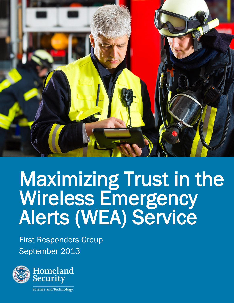

# Maximizing Trust in the Wireless Emergency Alerts (WEA) Service

First Responders Group September 2013

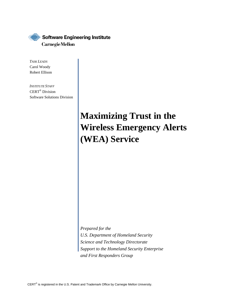

*TASK LEADS*  Carol Woody Robert Ellison

*INSTITUTE STAFF*  CERT® Division Software Solutions Division

## **Maximizing Trust in the Wireless Emergency Alerts (WEA) Service**

*Prepared for the U.S. Department of Homeland Security Science and Technology Directorate Support to the Homeland Security Enterprise and First Responders Group* 

CERT $^{\circ}$  is registered in the U.S. Patent and Trademark Office by Carnegie Mellon University.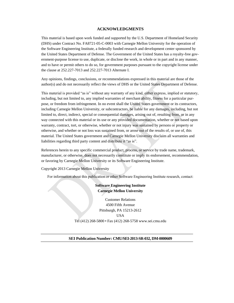#### **ACKNOWLEDGMENTS**

This material is based upon work funded and supported by the U.S. Department of Homeland Security (DHS) under Contract No. FA8721-05-C-0003 with Carnegie Mellon University for the operation of the Software Engineering Institute, a federally funded research and development center sponsored by the United States Department of Defense. The Government of the United States has a royalty-free government-purpose license to use, duplicate, or disclose the work, in whole or in part and in any manner, and to have or permit others to do so, for government purposes pursuant to the copyright license under the clause at 252.227-7013 and 252.227-7013 Alternate I.

Any opinions, findings, conclusions, or recommendations expressed in this material are those of the author(s) and do not necessarily reflect the views of DHS or the United States Department of Defense.

This material is provided "as is" without any warranty of any kind, either express, implied or statutory, including, but not limited to, any implied warranties of merchant ability, fitness for a particular purpose, or freedom from infringement. In no event shall the United States government or its contractors, including Carnegie Mellon University, or subcontractors, be liable for any damages, including, but not limited to, direct, indirect, special or consequential damages, arising out of, resulting from, or in any way connected with this material or its use or any provided documentation, whether or not based upon warranty, contract, tort, or otherwise, whether or not injury was sustained by persons or property or otherwise, and whether or not loss was sustained from, or arose out of the results of, or use of, this material. The United States government and Carnegie Mellon University disclaim all warranties and liabilities regarding third party content and distribute it "as is".

References herein to any specific commercial product, process, or service by trade name, trademark, manufacturer, or otherwise, does not necessarily constitute or imply its endorsement, recommendation, or favoring by Carnegie Mellon University or its Software Engineering Institute.

Copyright 2013 Carnegie Mellon University

For information about this publication or other Software Engineering Institute research, contact:

#### **Software Engineering Institute Carnegie Mellon University**

Customer Relations 4500 Fifth Avenue Pittsburgh, PA 15213-2612 USA Tel (412) 268-5800 • Fax (412) 268-5758 [www.sei.cmu.edu](http://www.sei.cmu.edu/)

#### **SEI Publication Number: CMU/SEI-2013-SR-032, DM-0000609**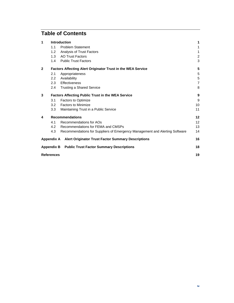## **Table of Contents**

| 1 | <b>Introduction</b>                                         |                                                                             |                   |
|---|-------------------------------------------------------------|-----------------------------------------------------------------------------|-------------------|
|   | 1.1                                                         | <b>Problem Statement</b>                                                    | 1                 |
|   | 1.2                                                         | Analysis of Trust Factors                                                   | 1                 |
|   |                                                             | 1.3 AO Trust Factors                                                        | 2                 |
|   |                                                             | 1.4 Public Trust Factors                                                    | 3                 |
| 2 | Factors Affecting Alert Originator Trust in the WEA Service |                                                                             |                   |
|   | 2.1                                                         | Appropriateness                                                             | 5                 |
|   | 2.2                                                         | Availability                                                                | 5                 |
|   | $2.3 -$                                                     | Effectiveness                                                               | $\overline{7}$    |
|   | 2.4                                                         | <b>Trusting a Shared Service</b>                                            | 8                 |
| 3 | <b>Factors Affecting Public Trust in the WEA Service</b>    |                                                                             |                   |
|   | 3.1                                                         | <b>Factors to Optimize</b>                                                  | 9                 |
|   | 3.2                                                         | <b>Factors to Minimize</b>                                                  | 10                |
|   | 3.3                                                         | Maintaining Trust in a Public Service                                       | 11                |
| 4 | <b>Recommendations</b>                                      |                                                                             | $12 \,$           |
|   | 4.1                                                         | Recommendations for AOs                                                     | $12 \overline{ }$ |
|   | 4.2                                                         | Recommendations for FEMA and CMSPs                                          | 13                |
|   | 4.3                                                         | Recommendations for Suppliers of Emergency Management and Alerting Software | 14                |
|   |                                                             | Appendix A Alert Originator Trust Factor Summary Descriptions               | 16                |
|   |                                                             | <b>Appendix B</b> Public Trust Factor Summary Descriptions                  | 18                |
|   | <b>References</b>                                           |                                                                             | 19                |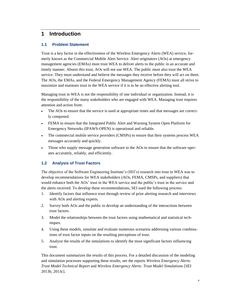## <span id="page-4-0"></span>**1 Introduction**

## <span id="page-4-1"></span>**1.1 Problem Statement**

Trust is a key factor in the effectiveness of the Wireless Emergency Alerts (WEA) service, formerly known as the Commercial Mobile Alert Service. Alert originators (AOs) at emergency management agencies (EMAs) must trust WEA to deliver alerts to the public in an accurate and timely manner. Absent this trust, AOs will not use WEA. The public must also trust the WEA service. They must understand and believe the messages they receive before they will act on them. The AOs, the EMAs, and the Federal Emergency Management Agency (FEMA) must all strive to maximize and maintain trust in the WEA service if it is to be an effective alerting tool.

Managing trust in WEA is not the responsibility of one individual or organization. Instead, it is the responsibility of the many stakeholders who are engaged with WEA. Managing trust requires attention and action from:

- The AOs to ensure that the service is used at appropriate times and that messages are correctly composed.
- FEMA to ensure that the Integrated Public Alert and Warning System Open Platform for Emergency Networks (IPAWS-OPEN) is operational and reliable.
- The commercial mobile service providers (CMSPs) to ensure that their systems process WEA messages accurately and quickly.
- Those who supply message generation software to the AOs to ensure that the software operates accurately, reliably, and efficiently.

## <span id="page-4-2"></span>**1.2 Analysis of Trust Factors**

The objective of the Software Engineering Institute's (SEI's) research into trust in WEA was to develop recommendations for WEA stakeholders (AOs, FEMA, CMSPs, and suppliers) that would enhance both the AOs' trust in the WEA service and the public's trust in the service and the alerts received. To develop these recommendations, SEI used the following process:

- 1. Identify factors that influence trust through review of prior alerting research and interviews with AOs and alerting experts.
- 2. Survey both AOs and the public to develop an understanding of the interactions between trust factors.
- 3. Model the relationships between the trust factors using mathematical and statistical techniques.
- 4. Using these models, simulate and evaluate numerous scenarios addressing various combinations of trust factor inputs on the resulting perceptions of trust.
- 5. Analyze the results of the simulations to identify the most significant factors influencing trust.

This document summarizes the results of this process. For a detailed discussion of the modeling and simulation processes supporting these results, see the reports *Wireless Emergency Alerts: Trust Model Technical Report* and *Wireless Emergency Alerts: Trust Model Simulations* [SEI 2013b, 2013c].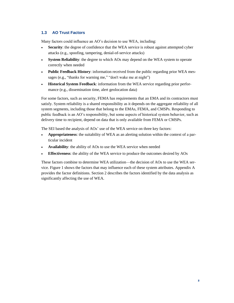## <span id="page-5-0"></span>**1.3 AO Trust Factors**

Many factors could influence an AO's decision to use WEA, including:

- **Security**: the degree of confidence that the WEA service is robust against attempted cyber attacks (e.g., spoofing, tampering, denial-of-service attacks)
- **System Reliability**: the degree to which AOs may depend on the WEA system to operate correctly when needed
- **Public Feedback History**: information received from the public regarding prior WEA messages (e.g., "thanks for warning me," "don't wake me at night")
- **Historical System Feedback**: information from the WEA service regarding prior performance (e.g., dissemination time, alert geolocation data)

For some factors, such as security, FEMA has requirements that an EMA and its contractors must satisfy. System reliability is a shared responsibility as it depends on the aggregate reliability of all system segments, including those that belong to the EMAs, FEMA, and CMSPs. Responding to public feedback is an AO's responsibility, but some aspects of historical system behavior, such as delivery time to recipient, depend on data that is only available from FEMA or CMSPs.

The SEI based the analysis of AOs' use of the WEA service on three key factors:

- **Appropriateness**: the suitability of WEA as an alerting solution within the context of a particular incident
- **Availability**: the ability of AOs to use the WEA service when needed
- **Effectiveness**: the ability of the WEA service to produce the outcomes desired by AOs

These factors combine to determine WEA utilization—the decision of AOs to use the WEA service[. Figure 1](#page-6-1) shows the factors that may influence each of these system attributes. Appendix A provides the factor definitions. Section [2](#page-8-0) describes the factors identified by the data analysis as significantly affecting the use of WEA.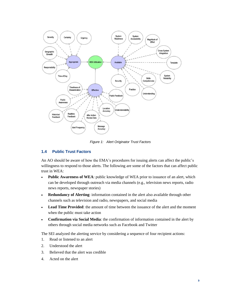

*Figure 1: Alert Originator Trust Factors* 

## <span id="page-6-1"></span><span id="page-6-0"></span>**1.4 Public Trust Factors**

An AO should be aware of how the EMA's procedures for issuing alerts can affect the public's willingness to respond to those alerts. The following are some of the factors that can affect public trust in WEA:

- **Public Awareness of WEA**: public knowledge of WEA prior to issuance of an alert, which can be developed through outreach via media channels (e.g., television news reports, radio news reports, newspaper stories)
- **Redundancy of Alerting**: information contained in the alert also available through other channels such as television and radio, newspapers, and social media
- **Lead Time Provided**: the amount of time between the issuance of the alert and the moment when the public must take action
- **Confirmation via Social Media**: the confirmation of information contained in the alert by others through social media networks such as Facebook and Twitter

The SEI analyzed the alerting service by considering a sequence of four recipient actions:

- 1. Read or listened to an alert
- 2. Understood the alert
- 3. Believed that the alert was credible
- 4. Acted on the alert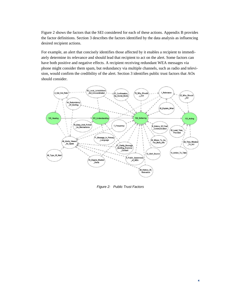[Figure 2](#page-7-0) shows the factors that the SEI considered for each of these actions. Appendix B provides the factor definitions. Section [3](#page-12-0) describes the factors identified by the data analysis as influencing desired recipient actions.

For example, an alert that concisely identifies those affected by it enables a recipient to immediately determine its relevance and should lead that recipient to act on the alert. Some factors can have both positive and negative effects. A recipient receiving redundant WEA messages via phone might consider them spam, but redundancy via multiple channels, such as radio and television, would confirm the credibility of the alert. Section [3](#page-12-0) identifies public trust factors that AOs should consider.



<span id="page-7-0"></span>*Figure 2: Public Trust Factors*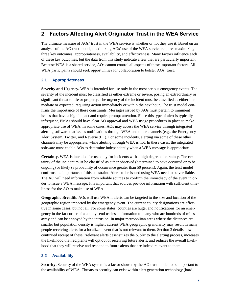## <span id="page-8-0"></span>**2 Factors Affecting Alert Originator Trust in the WEA Service**

The ultimate measure of AOs' trust in the WEA service is whether or not they use it. Based on an analysis of the AO trust model, maximizing AOs' use of the WEA service requires maximizing three key outcomes: appropriateness, availability, and effectiveness. Many factors influence each of these key outcomes, but the data from this study indicate a few that are particularly important. Because WEA is a shared service, AOs cannot control all aspects of these important factors. All WEA participants should seek opportunities for collaboration to bolster AOs' trust.

## <span id="page-8-1"></span>**2.1 Appropriateness**

**Severity and Urgency.** WEA is intended for use only in the most serious emergency events. The severity of the incident must be classified as either extreme or severe, posing an extraordinary or significant threat to life or property. The urgency of the incident must be classified as either immediate or expected, requiring action immediately or within the next hour. The trust model confirms the importance of these constraints. Messages issued by AOs must pertain to imminent issues that have a high impact and require prompt attention. Since this type of alert is typically infrequent, EMAs should have clear AO approval and WEA usage procedures in place to make appropriate use of WEA. In some cases, AOs may access the WEA service through integrated alerting software that issues notifications through WEA and other channels (e.g., the Emergency Alert System, Twitter, and Reverse 911). For some incidents, alerting via some of these other channels may be appropriate, while alerting through WEA is not. In these cases, the integrated software must enable AOs to determine independently when a WEA message is appropriate.

**Certainty.** WEA is intended for use only for incidents with a high degree of certainty. The certainty of the incident must be classified as either observed (determined to have occurred or to be ongoing) or likely (a probability of occurrence greater than 50 percent). Again, the trust model confirms the importance of this constraint. Alerts to be issued using WEA need to be verifiable. The AO will need information from reliable sources to confirm the immediacy of the event in order to issue a WEA message. It is important that sources provide information with sufficient timeliness for the AO to make use of WEA.

**Geographic Breadth.** AOs will use WEA if alerts can be targeted to the size and location of the geographic region impacted by the emergency event. The current county designations are effective in some cases, but not all. For some states, counties are huge, and notifications for an emergency in the far corner of a county send useless information to many who are hundreds of miles away and can be annoyed by the intrusion. In major metropolitan areas where the distances are smaller but population density is higher, current WEA geographic granularity may result in many people receiving alerts for a localized event that is not relevant to them. Section [3](#page-12-0) details how continued receipt of these irrelevant alerts desensitizes the public to the alerting process, increases the likelihood that recipients will opt out of receiving future alerts, and reduces the overall likelihood that they will receive and respond to future alerts that are indeed relevant to them.

### <span id="page-8-2"></span>**2.2 Availability**

**Security.** Security of the WEA system is a factor shown by the AO trust model to be important to the availability of WEA. Threats to security can exist within alert generation technology (hard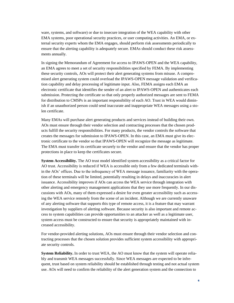ware, systems, and software) or due to insecure integration of the WEA capability with other EMA systems, poor operational security practices, or user computing activities. An EMA, or external security experts whom the EMA engages, should perform risk assessments periodically to ensure that the alerting capability is adequately secure. EMAs should conduct these risk assessments annually.

In signing the Memorandum of Agreement for access to IPAWS-OPEN and the WEA capability, an EMA agrees to meet a set of security responsibilities specified by FEMA. By implementing these security controls, AOs will protect their alert generating systems from misuse. A compromised alert generating system could overload the IPAWS-OPEN message validation and verification capability and delay processing of legitimate input. Also, FEMA assigns each EMA an electronic certificate that identifies the sender of an alert to IPAWS-OPEN and authenticates each submission. Protecting the certificate so that only properly authorized messages are sent to FEMA for distribution to CMSPs is an important responsibility of each AO. Trust in WEA would diminish if an unauthorized person could send inaccurate and inappropriate WEA messages using a stolen certificate.

Many EMAs will purchase alert generating products and services instead of building their own. AOs must ensure through their vendor selection and contracting processes that the chosen products fulfill the security responsibilities. For many products, the vendor controls the software that creates the messages for submission to IPAWS-OPEN. In this case, an EMA must give its electronic certificate to the vendor so that IPAWS-OPEN will recognize the message as legitimate. The EMA must transfer its certificate securely to the vendor and ensure that the vendor has proper protections in place to keep the certificates secure.

**System Accessibility.** The AO trust model identified system accessibility as a critical factor for AO trust. Accessibility is reduced if WEA is accessible only from a few dedicated terminals within the AOs' offices. Due to the infrequency of WEA message issuance, familiarity with the operation of these terminals will be limited, potentially resulting in delays and inaccuracies in alert issuance. Accessibility improves if AOs can access the WEA service through integration with other alerting and emergency management applications that they use more frequently. In our discussions with AOs, many of them expressed a desire for even greater accessibility such as accessing the WEA service remotely from the scene of an incident. Although we are currently unaware of any alerting software that supports this type of remote access, it is a feature that may warrant investigation by suppliers of alerting software. Because security is also important and remote access to system capabilities can provide opportunities to an attacker as well as a legitimate user, system access must be constructed to ensure that security is appropriately maintained with increased accessibility.

For vendor-provided alerting solutions, AOs must ensure through their vendor selection and contracting processes that the chosen solution provides sufficient system accessibility with appropriate security controls.

**System Reliability.** In order to trust WEA, the AO must know that the system will operate reliably and transmit WEA messages successfully. Since WEA messages are expected to be infrequent, trust based on system reliability should be established through testing and not actual system use. AOs will need to confirm the reliability of the alert generation system and the connection to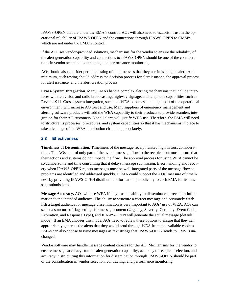IPAWS-OPEN that are under the EMA's control. AOs will also need to establish trust in the operational reliability of IPAWS-OPEN and the connections through IPAWS-OPEN to CMSPs, which are not under the EMA's control.

If the AO uses vendor-provided solutions, mechanisms for the vendor to ensure the reliability of the alert generation capability and connections to IPAWS-OPEN should be one of the considerations in vendor selection, contracting, and performance monitoring.

AOs should also consider periodic testing of the processes that they use in issuing an alert. At a minimum, such testing should address the decision process for alert issuance, the approval process for alert issuance, and the alert creation process.

**Cross-System Integration.** Many EMAs handle complex alerting mechanisms that include interfaces with television and radio broadcasting, highway signage, and telephone capabilities such as Reverse 911. Cross-system integration, such that WEA becomes an integral part of the operational environment, will increase AO trust and use. Many suppliers of emergency management and alerting software products will add the WEA capability to their products to provide seamless integration for their AO customers. Not all alerts will justify WEA use. Therefore, the EMA will need to structure its processes, procedures, and system capabilities so that it has mechanisms in place to take advantage of the WEA distribution channel appropriately.

### <span id="page-10-0"></span>**2.3 Effectiveness**

**Timeliness of Dissemination.** Timeliness of the message receipt ranked high in trust considerations. The AOs control only part of the overall message flow to the recipient but must ensure that their actions and systems do not impede the flow. The approval process for using WEA cannot be so cumbersome and time consuming that it delays message submission. Error handling and recovery when IPAWS-OPEN rejects messages must be well-integrated parts of the message flow so problems are identified and addressed quickly. FEMA could support the AOs' measure of timeliness by providing IPAWS-OPEN distribution information periodically to each EMA for its message submissions.

**Message Accuracy.** AOs will use WEA if they trust its ability to disseminate correct alert information to the intended audience. The ability to structure a correct message and accurately establish a target audience for message dissemination is very important to AOs' use of WEA. AOs can select a structure of flag settings for message content (Urgency, Severity, Certainty, Event Code, Expiration, and Response Type), and IPAWS-OPEN will generate the actual message (default mode). If an EMA chooses this mode, AOs need to review these options to ensure that they can appropriately generate the alerts that they would send through WEA from the available choices. EMAs can also choose to issue messages as text strings that IPAWS-OPEN sends to CMSPs unchanged.

Vendor software may handle message content choices for the AO. Mechanisms for the vendor to ensure message accuracy from its alert generation capability, accuracy of recipient selection, and accuracy in structuring this information for dissemination through IPAWS-OPEN should be part of the consideration in vendor selection, contracting, and performance monitoring.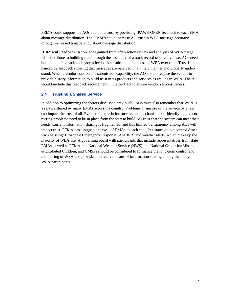FEMA could support the AOs and build trust by providing IPAWS-OPEN feedback to each EMA about message distribution. The CMSPs could increase AO trust in WEA message accuracy through increased transparency about message distribution.

**Historical Feedback.** Knowledge gained from after-action review and analysis of WEA usage will contribute to building trust through the assembly of a track record of effective use. AOs need both public feedback and system feedback to substantiate the use of WEA over time. Trust is enhanced by feedback showing that messages are received in a timely manner and properly understood. When a vendor controls the submission capability, the AO should require the vendor to provide history information to build trust in its products and services as well as in WEA. The AO should include this feedback requirement in the contract to ensure vendor responsiveness.

#### <span id="page-11-0"></span>**2.4 Trusting a Shared Service**

In addition to optimizing the factors discussed previously, AOs must also remember that WEA is a service shared by many EMAs across the country. Problems or misuse of the service by a few can impact the trust of all. Evaluation criteria for success and mechanisms for identifying and correcting problems need to be in place from the start to build AO trust that the system can meet their needs. Current information sharing is fragmented, and this limited transparency among AOs will impact trust. FEMA has assigned approval of EMAs to each state, but states do not control America's Missing: Broadcast Emergency Response (AMBER) and weather alerts, which make up the majority of WEA use. A governing board with participants that include representatives from state EMAs as well as FEMA, the National Weather Service (NWS), the National Center for Missing & Exploited Children, and CMSPs should be considered to formalize the long-term control and monitoring of WEA and provide an effective means of information sharing among the many WEA participants.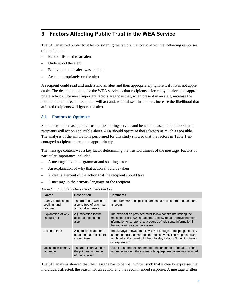## <span id="page-12-0"></span>**3 Factors Affecting Public Trust in the WEA Service**

The SEI analyzed public trust by considering the factors that could affect the following responses of a recipient:

- Read or listened to an alert
- Understood the alert
- Believed that the alert was credible
- Acted appropriately on the alert

A recipient could read and understand an alert and then appropriately ignore it if it was not applicable. The desired outcome for the WEA service is that recipients affected by an alert take appropriate actions. The most important factors are those that, when present in an alert, increase the likelihood that affected recipients will act and, when absent in an alert, increase the likelihood that affected recipients will ignore the alert.

## <span id="page-12-1"></span>**3.1 Factors to Optimize**

Some factors increase public trust in the alerting service and hence increase the likelihood that recipients will act on applicable alerts. AOs should optimize these factors as much as possible. The analysis of the simulations performed for this study showed that the factors in [Table 1](#page-12-2) encouraged recipients to respond appropriately.

The message content was a key factor determining the trustworthiness of the message. Factors of particular importance included:

- A message devoid of grammar and spelling errors
- An explanation of why that action should be taken
- A clear statement of the action that the recipient should take
- A message in the primary language of the recipient

| Factor                                          | <b>Description</b>                                                        | <b>Comments</b>                                                                                                                                                                                                                             |
|-------------------------------------------------|---------------------------------------------------------------------------|---------------------------------------------------------------------------------------------------------------------------------------------------------------------------------------------------------------------------------------------|
| Clarity of message,<br>spelling, and<br>grammar | The degree to which an<br>alert is free of grammar<br>and spelling errors | Poor grammar and spelling can lead a recipient to treat an alert<br>as spam.                                                                                                                                                                |
| Explanation of why<br>I should act              | A justification for the<br>action stated in the<br>alert                  | The explanation provided must follow constraints limiting the<br>message size to 90 characters. A follow-up alert providing more<br>information or a referral to a source of additional information in<br>the first alert may be necessary. |
| Action to take                                  | A definitive statement<br>of action that recipients<br>should take        | The surveys showed that it was not enough to tell people to stay<br>indoors during a hazardous materials event. The response was<br>much better if an alert told them to stay indoors "to avoid chemi-<br>cal exposure."                    |
| Message in primary<br>language                  | The alert is provided in<br>the primary language<br>of the receiver       | Even if respondents understood the language of the alert, if that<br>language was not their primary language, response was reduced.                                                                                                         |

<span id="page-12-2"></span>*Table 1: Important Message Content Factors* 

The SEI analysis showed that the message has to be well written such that it clearly expresses the individuals affected, the reason for an action, and the recommended response. A message written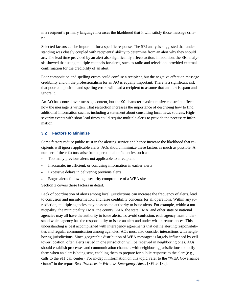in a recipient's primary language increases the likelihood that it will satisfy those message criteria.

Selected factors can be important for a specific response. The SEI analysis suggested that understanding was closely coupled with recipients' ability to determine from an alert why they should act. The lead time provided by an alert also significantly affects action. In addition, the SEI analysis showed that using multiple channels for alerts, such as radio and television, provided external confirmation for the credibility of an alert.

Poor composition and spelling errors could confuse a recipient, but the negative effect on message credibility and on the professionalism for an AO is equally important. There is a significant risk that poor composition and spelling errors will lead a recipient to assume that an alert is spam and ignore it.

An AO has control over message content, but the 90-character maximum size constraint affects how the message is written. That restriction increases the importance of describing how to find additional information such as including a statement about consulting local news sources. Highseverity events with short lead times could require multiple alerts to provide the necessary information.

#### <span id="page-13-0"></span>**3.2 Factors to Minimize**

Some factors reduce public trust in the alerting service and hence increase the likelihood that recipients will ignore applicable alerts. AOs should minimize these factors as much as possible. A number of these factors arise from operational deficiencies such as:

- Too many previous alerts not applicable to a recipient
- Inaccurate, insufficient, or confusing information in earlier alerts
- Excessive delays in delivering previous alerts
- Bogus alerts following a security compromise of a WEA site

Section [2](#page-8-0) covers these factors in detail.

Lack of coordination of alerts among local jurisdictions can increase the frequency of alerts, lead to confusion and misinformation, and raise credibility concerns for all operations. Within any jurisdiction, multiple agencies may possess the authority to issue alerts. For example, within a municipality, the municipality EMA, the county EMA, the state EMA, and other state or national agencies may all have the authority to issue alerts. To avoid confusion, each agency must understand which agency has the responsibility to issue an alert and under what circumstances. This understanding is best accomplished with interagency agreements that define alerting responsibilities and regular communication among agencies. AOs must also consider interactions with neighboring jurisdictions. Since geographic distribution of WEA messages is largely influenced by cell tower location, often alerts issued in one jurisdiction will be received in neighboring ones. AOs should establish processes and communication channels with neighboring jurisdictions to notify them when an alert is being sent, enabling them to prepare for public response to the alert (e.g., calls to the 911 call center). For in-depth information on this topic, refer to the "WEA Governance Guide" in the report *Best Practices in Wireless Emergency Alerts* [SEI 2013a].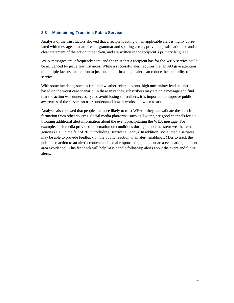#### <span id="page-14-0"></span>**3.3 Maintaining Trust in a Public Service**

Analysis of the trust factors showed that a recipient acting on an applicable alert is highly correlated with messages that are free of grammar and spelling errors, provide a justification for and a clear statement of the action to be taken, and are written in the recipient's primary language.

WEA messages are infrequently sent, and the trust that a recipient has for the WEA service could be influenced by just a few instances. While a successful alert requires that an AO give attention to multiple factors, inattention to just one factor in a single alert can reduce the credibility of the service.

With some incidents, such as fire- and weather-related events, high uncertainty leads to alerts based on the worst case scenario. In these instances, subscribers may act on a message and find that the action was unnecessary. To avoid losing subscribers, it is important to improve public awareness of the service so users understand how it works and when to act.

Analysis also showed that people are more likely to trust WEA if they can validate the alert information from other sources. Social media platforms, such as Twitter, are good channels for distributing additional alert information about the event precipitating the WEA message. For example, such media provided information on conditions during the northeastern weather emergencies (e.g., in the fall of 2012, including Hurricane Sandy). In addition, social media services may be able to provide feedback on the public reaction to an alert, enabling EMAs to track the public's reaction to an alert's content and actual response (e.g., incident area evacuation, incident area avoidance). This feedback will help AOs handle follow-up alerts about the event and future alerts.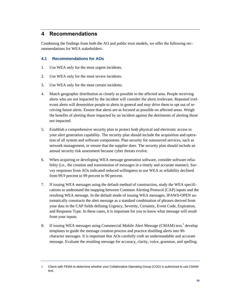## <span id="page-15-0"></span>**4 Recommendations**

Combining the findings from both the AO and public trust models, we offer the following recommendations for WEA stakeholders.

## <span id="page-15-1"></span>**4.1 Recommendations for AOs**

- 1. Use WEA only for the most urgent incidents.
- 2. Use WEA only for the most severe incidents.
- 3. Use WEA only for the most certain incidents.
- 4. Match geographic distribution as closely as possible to the affected area. People receiving alerts who are not impacted by the incident will consider the alerts irrelevant. Repeated irrelevant alerts will desensitize people to alerts in general and may drive them to opt out of receiving future alerts. Ensure that alerts are as focused as possible on affected areas. Weigh the benefits of alerting those impacted by an incident against the detriments of alerting those not impacted.
- 5. Establish a comprehensive security plan to protect both physical and electronic access to your alert generation capability. The security plan should include the acquisition and operation of all system and software components. Plan security for outsourced services, such as network management, or ensure that the supplier does. The security plan should include an annual security risk assessment because cyber threats evolve.
- 6. When acquiring or developing WEA message generation software, consider software reliability (i.e., the creation and transmission of messages in a timely and accurate manner). Survey responses from AOs indicated reduced willingness to use WEA as reliability declined from 99.9 percent to 99 percent to 90 percent.
- 7. If issuing WEA messages using the default method of construction, study the WEA specifications to understand the mapping between Common Alerting Protocol (CAP) inputs and the resulting WEA message. In the default mode of issuing WEA messages, IPAWS-OPEN automatically constructs the alert message as a standard combination of phrases derived from your data in the CAP fields defining Urgency, Severity, Certainty, Event Code, Expiration, and Response Type. In these cases, it is important for you to know what message will result from your inputs.
- 8. If issuing WEA messages using Commercial Mobile Alert Message (CMAM) text,<sup>1</sup> develop templates to guide the message creation process and practice distilling alerts into 90 character messages. It is important that AOs carefully craft an understandable and accurate message. Evaluate the resulting message for accuracy, clarity, voice, grammar, and spelling.

<sup>1</sup> Check with FEMA to determine whether your Collaborative Operating Group (COG) is authorized to use CMAM text.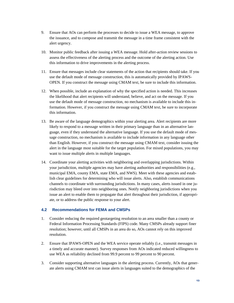- 9. Ensure that AOs can perform the processes to decide to issue a WEA message, to approve the issuance, and to compose and transmit the message in a time frame consistent with the alert urgency.
- 10. Monitor public feedback after issuing a WEA message. Hold after-action review sessions to assess the effectiveness of the alerting process and the outcome of the alerting action. Use this information to drive improvements in the alerting process.
- 11. Ensure that messages include clear statements of the action that recipients should take. If you use the default mode of message construction, this is automatically provided by IPAWS-OPEN. If you construct the message using CMAM text, be sure to include this information.
- 12. When possible, include an explanation of why the specified action is needed. This increases the likelihood that alert recipients will understand, believe, and act on the message. If you use the default mode of message construction, no mechanism is available to include this information. However, if you construct the message using CMAM text, be sure to incorporate this information.
- 13. Be aware of the language demographics within your alerting area. Alert recipients are more likely to respond to a message written in their primary language than in an alternative language, even if they understand the alternative language. If you use the default mode of message construction, no mechanism is available to include information in any language other than English. However, if you construct the message using CMAM text, consider issuing the alert in the language most suitable for the target population. For mixed populations, you may want to issue multiple alerts in multiple languages.
- 14. Coordinate your alerting activities with neighboring and overlapping jurisdictions. Within your jurisdiction, multiple agencies may have alerting authorities and responsibilities (e.g., municipal EMA, county EMA, state EMA, and NWS). Meet with these agencies and establish clear guidelines for determining who will issue alerts. Also, establish communications channels to coordinate with surrounding jurisdictions. In many cases, alerts issued in one jurisdiction may bleed over into neighboring ones. Notify neighboring jurisdictions when you issue an alert to enable them to propagate that alert throughout their jurisdiction, if appropriate, or to address the public response to your alert.

#### <span id="page-16-0"></span>**4.2 Recommendations for FEMA and CMSPs**

- 1. Consider reducing the required geotargeting resolution to an area smaller than a county or Federal Information Processing Standards (FIPS) code. Many CMSPs already support finer resolution; however, until all CMSPs in an area do so, AOs cannot rely on this improved resolution.
- 2. Ensure that IPAWS-OPEN and the WEA service operate reliably (i.e., transmit messages in a timely and accurate manner). Survey responses from AOs indicated reduced willingness to use WEA as reliability declined from 99.9 percent to 99 percent to 90 percent.
- 3. Consider supporting alternative languages in the alerting process. Currently, AOs that generate alerts using CMAM text can issue alerts in languages suited to the demographics of the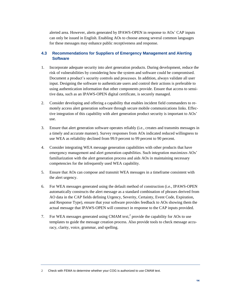alerted area. However, alerts generated by IPAWS-OPEN in response to AOs' CAP inputs can only be issued in English. Enabling AOs to choose among several common languages for these messages may enhance public receptiveness and response.

## <span id="page-17-0"></span>**4.3 Recommendations for Suppliers of Emergency Management and Alerting Software**

- 1. Incorporate adequate security into alert generation products. During development, reduce the risk of vulnerabilities by considering how the system and software could be compromised. Document a product's security controls and processes. In addition, always validate all user input. Designing the software to authenticate users and control their actions is preferable to using authentication information that other components provide. Ensure that access to sensitive data, such as an IPAWS-OPEN digital certificate, is securely managed.
- 2. Consider developing and offering a capability that enables incident field commanders to remotely access alert generation software through secure mobile communications links. Effective integration of this capability with alert generation product security is important to AOs' use.
- 3. Ensure that alert generation software operates reliably (i.e., creates and transmits messages in a timely and accurate manner). Survey responses from AOs indicated reduced willingness to use WEA as reliability declined from 99.9 percent to 99 percent to 90 percent.
- 4. Consider integrating WEA message generation capabilities with other products that have emergency management and alert generation capabilities. Such integration maximizes AOs' familiarization with the alert generation process and aids AOs in maintaining necessary competencies for the infrequently used WEA capability.
- 5. Ensure that AOs can compose and transmit WEA messages in a timeframe consistent with the alert urgency.
- 6. For WEA messages generated using the default method of construction (i.e., IPAWS-OPEN automatically constructs the alert message as a standard combination of phrases derived from AO data in the CAP fields defining Urgency, Severity, Certainty, Event Code, Expiration, and Response Type), ensure that your software provides feedback to AOs showing them the actual message that IPAWS-OPEN will construct in response to the CAP inputs provided.
- 7. For WEA messages generated using CMAM text,<sup>2</sup> provide the capability for AOs to use templates to guide the message creation process. Also provide tools to check message accuracy, clarity, voice, grammar, and spelling.

2 Check with FEMA to determine whether your COG is authorized to use CMAM text.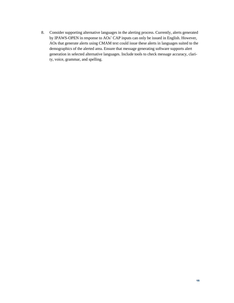8. Consider supporting alternative languages in the alerting process. Currently, alerts generated by IPAWS-OPEN in response to AOs' CAP inputs can only be issued in English. However, AOs that generate alerts using CMAM text could issue these alerts in languages suited to the demographics of the alerted area. Ensure that message generating software supports alert generation in selected alternative languages. Include tools to check message accuracy, clarity, voice, grammar, and spelling.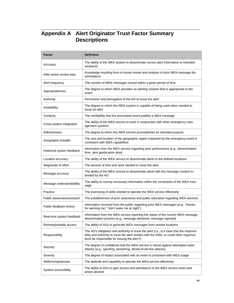## <span id="page-19-0"></span>**Appendix A Alert Originator Trust Factor Summary Descriptions**

| <b>Factor</b>              | <b>Definition</b>                                                                                                                                                                                                                    |
|----------------------------|--------------------------------------------------------------------------------------------------------------------------------------------------------------------------------------------------------------------------------------|
| Accuracy                   | The ability of the WEA system to disseminate correct alert information to intended<br>recipients                                                                                                                                     |
| After-action review data   | Knowledge resulting from in-house review and analysis of prior WEA message dis-<br>seminations                                                                                                                                       |
| Alert frequency            | The number of WEA messages issued within a given period of time                                                                                                                                                                      |
| Appropriateness            | The degree to which WEA provides an alerting solution that is appropriate to the<br>event                                                                                                                                            |
| Authority                  | Permission and prerogative of the AO to issue the alert                                                                                                                                                                              |
| Availability               | The degree to which the WEA system is capable of being used when needed to<br>issue an alert                                                                                                                                         |
| Certainty                  | The verifiability that the associated event justifies a WEA message                                                                                                                                                                  |
| Cross-system integration   | The ability of the WEA service to work in conjunction with other emergency man-<br>agement systems                                                                                                                                   |
| <b>Effectiveness</b>       | The degree to which the WEA service accomplishes its intended purpose                                                                                                                                                                |
| Geographic breadth         | The size and location of the geographic region impacted by the emergency event is<br>consistent with WEA capabilities                                                                                                                |
| Historical system feedback | Information from the WEA service regarding prior performance (e.g., dissemination<br>time, alert geolocation data)                                                                                                                   |
| Location accuracy          | The ability of the WEA service to disseminate alerts to the defined locations                                                                                                                                                        |
| Magnitude of effort        | The amount of time and work needed to issue the alert                                                                                                                                                                                |
| Message accuracy           | The ability of the WEA service to disseminate alerts with the message content in-<br>tended by the AO                                                                                                                                |
| Message understandability  | The ability to convey necessary information within the constraints of the WEA mes-<br>sage                                                                                                                                           |
| Practice                   | The exercising of skills needed to operate the WEA service effectively                                                                                                                                                               |
| Public awareness/outreach  | The establishment of prior awareness and public education regarding WEA services                                                                                                                                                     |
| Public feedback history    | Information received from the public regarding prior WEA messages (e.g., "thanks<br>for warning me," "don't wake me at night")                                                                                                       |
| Real-time system feedback  | Information from the WEA service reporting the status of the current WEA message<br>dissemination process (e.g., message delivered, message rejected)                                                                                |
| Remote/portable access     | The ability of AOs to generate WEA messages from remote locations                                                                                                                                                                    |
| Responsibility             | The AO's obligation and authority to issue the alert (i.e., is it clear that the responsi-<br>bility and authority to issue the alert resides with the EMA, or could other organiza-<br>tions be responsible for issuing the alert?) |
| Security                   | The degree of confidence that the WEA service is robust against attempted cyber<br>attacks (e.g., spoofing, tampering, denial-of-service attacks)                                                                                    |
| Severity                   | The degree of impact associated with an event is consistent with WEA usage                                                                                                                                                           |
| Skills/competencies        | The aptitude and capability to operate the WEA service effectively                                                                                                                                                                   |
| System accessibility       | The ability of AOs to gain access and admittance to the WEA service when and<br>where desired                                                                                                                                        |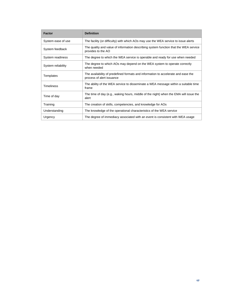| <b>Factor</b>      | <b>Definition</b>                                                                                              |
|--------------------|----------------------------------------------------------------------------------------------------------------|
| System ease of use | The facility (or difficulty) with which AOs may use the WEA service to issue alerts                            |
| System feedback    | The quality and value of information describing system function that the WEA service<br>provides to the AO     |
| System readiness   | The degree to which the WEA service is operable and ready for use when needed                                  |
| System reliability | The degree to which AOs may depend on the WEA system to operate correctly<br>when needed                       |
| Templates          | The availability of predefined formats and information to accelerate and ease the<br>process of alert issuance |
| <b>Timeliness</b>  | The ability of the WEA service to disseminate a WEA message within a suitable time<br>frame                    |
| Time of day        | The time of day (e.g., waking hours, middle of the night) when the EMA will issue the<br>alert                 |
| Training           | The creation of skills, competencies, and knowledge for AOs                                                    |
| Understanding      | The knowledge of the operational characteristics of the WEA service                                            |
| Urgency            | The degree of immediacy associated with an event is consistent with WEA usage                                  |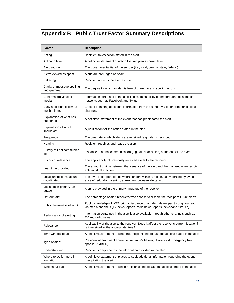## <span id="page-21-0"></span>**Appendix B Public Trust Factor Summary Descriptions**

| Factor                                     | <b>Description</b>                                                                                                                                               |  |  |
|--------------------------------------------|------------------------------------------------------------------------------------------------------------------------------------------------------------------|--|--|
| Acting                                     | Recipient takes action stated in the alert                                                                                                                       |  |  |
| Action to take                             | A definitive statement of action that recipients should take                                                                                                     |  |  |
| Alert source                               | The governmental tier of the sender (i.e., local, county, state, federal)                                                                                        |  |  |
| Alerts viewed as spam                      | Alerts are prejudged as spam                                                                                                                                     |  |  |
| Believing                                  | Recipient accepts the alert as true                                                                                                                              |  |  |
| Clarity of message spelling<br>and grammar | The degree to which an alert is free of grammar and spelling errors                                                                                              |  |  |
| Confirmation via social<br>media           | Information contained in the alert is disseminated by others through social media<br>networks such as Facebook and Twitter                                       |  |  |
| Easy additional follow-us<br>mechanisms    | Ease of obtaining additional information from the sender via other communications<br>channels                                                                    |  |  |
| Explanation of what has<br>happened        | A definitive statement of the event that has precipitated the alert                                                                                              |  |  |
| Explanation of why I<br>should act         | A justification for the action stated in the alert                                                                                                               |  |  |
| Frequency                                  | The time rate at which alerts are received (e.g., alerts per month)                                                                                              |  |  |
| Hearing                                    | Recipient receives and reads the alert                                                                                                                           |  |  |
| History of final communica-<br>tion        | Issuance of a final communication (e.g., all-clear notice) at the end of the event                                                                               |  |  |
| History of relevance                       | The applicability of previously received alerts to the recipient                                                                                                 |  |  |
| Lead time provided                         | The amount of time between the issuance of the alert and the moment when recipi-<br>ents must take action                                                        |  |  |
| Local jurisdictions act un-<br>coordinated | The level of cooperation between senders within a region, as evidenced by avoid-<br>ance of redundant alerting, agreement between alerts, etc.                   |  |  |
| Message in primary lan-<br>guage           | Alert is provided in the primary language of the receiver                                                                                                        |  |  |
| Opt-out rate                               | The percentage of alert receivers who choose to disable the receipt of future alerts                                                                             |  |  |
| Public awareness of WEA                    | Public knowledge of WEA prior to issuance of an alert, developed through outreach<br>via media channels (TV news reports, radio news reports, newspaper stories) |  |  |
| Redundancy of alerting                     | Information contained in the alert is also available through other channels such as<br>TV and radio news                                                         |  |  |
| Relevance                                  | Applicability of the alert to the receiver: Does it affect the receiver's current location?<br>Is it received at the appropriate time?                           |  |  |
| Time window to act                         | A definitive statement of when the recipient should take the actions stated in the alert                                                                         |  |  |
| Type of alert                              | Presidential, Imminent Threat, or America's Missing: Broadcast Emergency Re-<br>sponse (AMBER)                                                                   |  |  |
| Understanding                              | Recipient comprehends the information provided in the alert                                                                                                      |  |  |
| Where to go for more in-<br>formation      | A definitive statement of places to seek additional information regarding the event<br>precipitating the alert                                                   |  |  |
| Who should act                             | A definitive statement of which recipients should take the actions stated in the alert                                                                           |  |  |